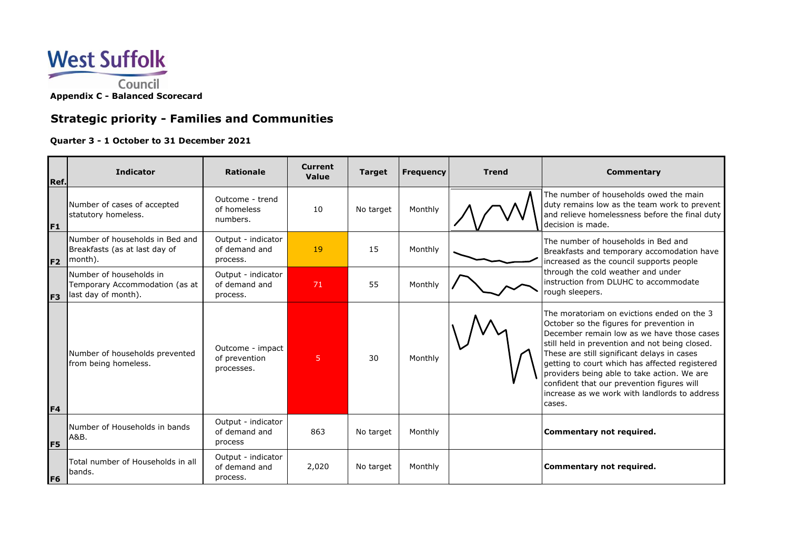

# **Strategic priority - Families and Communities**

### **Quarter 3 - 1 October to 31 December 2021**

| Ref.           | <b>Indicator</b>                                                                 | <b>Rationale</b>                                | <b>Current</b><br><b>Value</b> | <b>Target</b> | <b>Frequency</b> | <b>Trend</b> | <b>Commentary</b>                                                                                                                                                                                                                                                                                                                                                                                                                               |
|----------------|----------------------------------------------------------------------------------|-------------------------------------------------|--------------------------------|---------------|------------------|--------------|-------------------------------------------------------------------------------------------------------------------------------------------------------------------------------------------------------------------------------------------------------------------------------------------------------------------------------------------------------------------------------------------------------------------------------------------------|
| F <sub>1</sub> | Number of cases of accepted<br>statutory homeless.                               | Outcome - trend<br>of homeless<br>numbers.      | 10                             | No target     | Monthly          |              | The number of households owed the main<br>duty remains low as the team work to prevent<br>and relieve homelessness before the final duty<br>decision is made.                                                                                                                                                                                                                                                                                   |
| F <sub>2</sub> | Number of households in Bed and<br>Breakfasts (as at last day of<br>month).      | Output - indicator<br>of demand and<br>process. | 19                             | 15            | Monthly          |              | The number of households in Bed and<br>Breakfasts and temporary accomodation have<br>increased as the council supports people<br>through the cold weather and under<br>linstruction from DLUHC to accommodate<br>rough sleepers.                                                                                                                                                                                                                |
| F <sub>3</sub> | Number of households in<br>Temporary Accommodation (as at<br>last day of month). | Output - indicator<br>of demand and<br>process. | 71                             | 55            | Monthly          |              |                                                                                                                                                                                                                                                                                                                                                                                                                                                 |
| F4             | Number of households prevented<br>from being homeless.                           | Outcome - impact<br>of prevention<br>processes. | 5                              | 30            | Monthly          |              | The moratoriam on evictions ended on the 3<br>October so the figures for prevention in<br>December remain low as we have those cases<br>still held in prevention and not being closed.<br>These are still significant delays in cases<br>getting to court which has affected registered<br>providers being able to take action. We are<br>confident that our prevention figures will<br>increase as we work with landlords to address<br>cases. |
| F <sub>5</sub> | Number of Households in bands<br> A&B.                                           | Output - indicator<br>of demand and<br>process  | 863                            | No target     | Monthly          |              | Commentary not required.                                                                                                                                                                                                                                                                                                                                                                                                                        |
| F <sub>6</sub> | Total number of Households in all<br>lbands.                                     | Output - indicator<br>of demand and<br>process. | 2,020                          | No target     | Monthly          |              | Commentary not required.                                                                                                                                                                                                                                                                                                                                                                                                                        |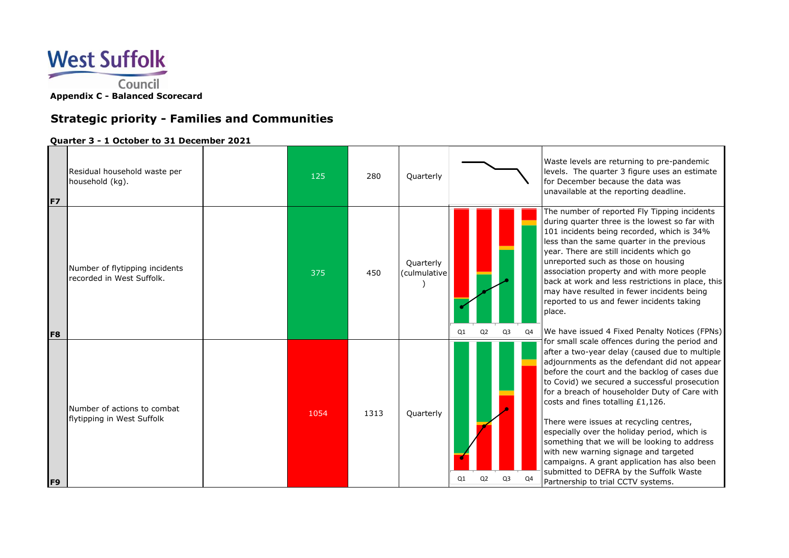

# **Strategic priority - Families and Communities**

### **Quarter 3 - 1 October to 31 December 2021**

| F7             | Residual household waste per<br>household (kg).             | 125  | 280  | Quarterly                 |                                  | Waste levels are returning to pre-pandemic<br>levels. The quarter 3 figure uses an estimate<br>for December because the data was<br>unavailable at the reporting deadline.                                                                                                                                                                                                                                                                                                                                                                                                                                                                                                                                                                                                                                                                                                                                                                                                                                                                                                                                                                                                                             |
|----------------|-------------------------------------------------------------|------|------|---------------------------|----------------------------------|--------------------------------------------------------------------------------------------------------------------------------------------------------------------------------------------------------------------------------------------------------------------------------------------------------------------------------------------------------------------------------------------------------------------------------------------------------------------------------------------------------------------------------------------------------------------------------------------------------------------------------------------------------------------------------------------------------------------------------------------------------------------------------------------------------------------------------------------------------------------------------------------------------------------------------------------------------------------------------------------------------------------------------------------------------------------------------------------------------------------------------------------------------------------------------------------------------|
| F <sub>8</sub> | Number of flytipping incidents<br>recorded in West Suffolk. | 375  | 450  | Quarterly<br>(culmulative | Q2<br>Q <sub>3</sub><br>Q1<br>Q4 | The number of reported Fly Tipping incidents<br>during quarter three is the lowest so far with<br>101 incidents being recorded, which is 34%<br>less than the same quarter in the previous<br>year. There are still incidents which go<br>unreported such as those on housing<br>association property and with more people<br>back at work and less restrictions in place, this<br>may have resulted in fewer incidents being<br>reported to us and fewer incidents taking<br>place.<br>We have issued 4 Fixed Penalty Notices (FPNs)<br>for small scale offences during the period and<br>after a two-year delay (caused due to multiple<br>adjournments as the defendant did not appear<br>before the court and the backlog of cases due<br>to Covid) we secured a successful prosecution<br>for a breach of householder Duty of Care with<br>costs and fines totalling £1,126.<br>There were issues at recycling centres,<br>especially over the holiday period, which is<br>something that we will be looking to address<br>with new warning signage and targeted<br>campaigns. A grant application has also been<br>submitted to DEFRA by the Suffolk Waste<br>Partnership to trial CCTV systems. |
| F <sub>9</sub> | Number of actions to combat<br>flytipping in West Suffolk   | 1054 | 1313 | Quarterly                 | Q <sub>3</sub><br>Q4<br>01       |                                                                                                                                                                                                                                                                                                                                                                                                                                                                                                                                                                                                                                                                                                                                                                                                                                                                                                                                                                                                                                                                                                                                                                                                        |